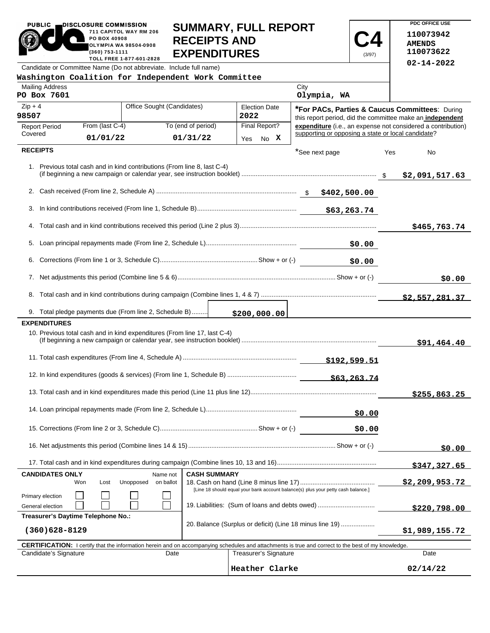#### PUBLIC **DISCLOSURE COMMISSION** 711 CAPITOL WAY RM 206 OLYMPIA WA 98504-0908 TOLL FREE 1-877-601-2828 **SUMMARY, FULL REPORT RECEIPTS AND EXPENDITURES**

**C4** (3/97)

**PDC OFFICE USE 110073942 AMENDS 110073622 02-14-2022**

Candidate or Committee Name (Do not abbreviate. Include full name)

PO BOX 40908

(360) 753-1111

| Washington Coalition for Independent Work Committee                                                                                                                                 |                                    |                     |                       |                                                                                                             |                                                              |
|-------------------------------------------------------------------------------------------------------------------------------------------------------------------------------------|------------------------------------|---------------------|-----------------------|-------------------------------------------------------------------------------------------------------------|--------------------------------------------------------------|
| <b>Mailing Address</b><br>PO Box 7601                                                                                                                                               |                                    |                     |                       | City<br>Olympia, WA                                                                                         |                                                              |
| Office Sought (Candidates)<br>$Zip + 4$<br><b>Election Date</b><br>2022<br>98507                                                                                                    |                                    |                     |                       | *For PACs, Parties & Caucus Committees: During<br>this report period, did the committee make an independent |                                                              |
| From (last C-4)<br><b>Report Period</b>                                                                                                                                             |                                    | To (end of period)  | Final Report?         |                                                                                                             | expenditure (i.e., an expense not considered a contribution) |
| Covered<br>01/01/22                                                                                                                                                                 |                                    | 01/31/22            | Yes No X              | supporting or opposing a state or local candidate?                                                          |                                                              |
| <b>RECEIPTS</b>                                                                                                                                                                     |                                    |                     |                       | *See next page                                                                                              | Yes<br>No                                                    |
| 1. Previous total cash and in kind contributions (From line 8, last C-4)                                                                                                            |                                    |                     |                       |                                                                                                             | \$2,091,517.63                                               |
|                                                                                                                                                                                     |                                    |                     |                       |                                                                                                             |                                                              |
|                                                                                                                                                                                     |                                    |                     |                       |                                                                                                             |                                                              |
|                                                                                                                                                                                     |                                    |                     |                       |                                                                                                             | \$465,763.74                                                 |
| 5.                                                                                                                                                                                  |                                    |                     |                       | \$0.00                                                                                                      |                                                              |
| 6.                                                                                                                                                                                  |                                    |                     |                       | \$0.00                                                                                                      |                                                              |
|                                                                                                                                                                                     |                                    |                     |                       |                                                                                                             | \$0.00                                                       |
|                                                                                                                                                                                     |                                    |                     |                       |                                                                                                             |                                                              |
| 9. Total pledge payments due (From line 2, Schedule B)                                                                                                                              |                                    |                     | \$200,000.00          |                                                                                                             |                                                              |
| <b>EXPENDITURES</b>                                                                                                                                                                 |                                    |                     |                       |                                                                                                             |                                                              |
| 10. Previous total cash and in kind expenditures (From line 17, last C-4)                                                                                                           |                                    |                     |                       |                                                                                                             | \$91,464.40                                                  |
|                                                                                                                                                                                     |                                    |                     |                       |                                                                                                             |                                                              |
|                                                                                                                                                                                     |                                    |                     |                       |                                                                                                             |                                                              |
|                                                                                                                                                                                     |                                    |                     |                       |                                                                                                             | \$255,863.25                                                 |
|                                                                                                                                                                                     |                                    |                     |                       | \$0.00                                                                                                      |                                                              |
|                                                                                                                                                                                     |                                    |                     |                       | \$0.00                                                                                                      |                                                              |
|                                                                                                                                                                                     |                                    |                     |                       |                                                                                                             | \$0.00                                                       |
|                                                                                                                                                                                     |                                    |                     |                       |                                                                                                             | \$347,327.65                                                 |
| <b>CANDIDATES ONLY</b><br>Won<br>Lost<br>Primary election                                                                                                                           | Name not<br>Unopposed<br>on ballot | <b>CASH SUMMARY</b> |                       | [Line 18 should equal your bank account balance(s) plus your petty cash balance.]                           | \$2,209,953.72                                               |
| General election                                                                                                                                                                    |                                    |                     |                       | 19. Liabilities: (Sum of loans and debts owed)                                                              | \$220,798.00                                                 |
| Treasurer's Daytime Telephone No.:                                                                                                                                                  |                                    |                     |                       |                                                                                                             |                                                              |
| $(360)628 - 8129$                                                                                                                                                                   |                                    |                     |                       |                                                                                                             | \$1,989,155.72                                               |
| <b>CERTIFICATION:</b> I certify that the information herein and on accompanying schedules and attachments is true and correct to the best of my knowledge.<br>Candidate's Signature | Date                               |                     | Treasurer's Signature |                                                                                                             | Date                                                         |
|                                                                                                                                                                                     |                                    |                     | Heather Clarke        |                                                                                                             | 02/14/22                                                     |
|                                                                                                                                                                                     |                                    |                     |                       |                                                                                                             |                                                              |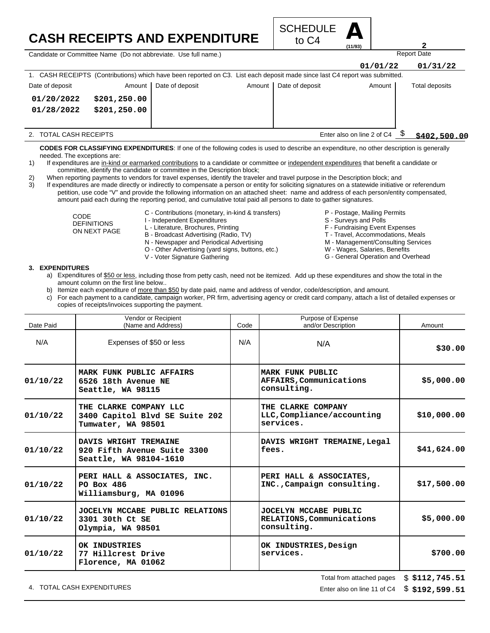## **CASH RECEIPTS AND EXPENDITURE**



Candidate or Committee Name (Do not abbreviate. Use full name.)

| Candidate or Committee Name (Do not abbreviate. Use full name.) |               |                                                                                                                             |        |                 |                            | <b>Report Date</b> |  |  |  |
|-----------------------------------------------------------------|---------------|-----------------------------------------------------------------------------------------------------------------------------|--------|-----------------|----------------------------|--------------------|--|--|--|
|                                                                 |               |                                                                                                                             |        |                 | 01/01/22                   | 01/31/22           |  |  |  |
|                                                                 |               | 1. CASH RECEIPTS (Contributions) which have been reported on C3. List each deposit made since last C4 report was submitted. |        |                 |                            |                    |  |  |  |
| Date of deposit                                                 | Amount        | Date of deposit                                                                                                             | Amount | Date of deposit | Amount                     | Total deposits     |  |  |  |
| 01/20/2022                                                      | \$201, 250.00 |                                                                                                                             |        |                 |                            |                    |  |  |  |
| 01/28/2022                                                      | \$201, 250.00 |                                                                                                                             |        |                 |                            |                    |  |  |  |
|                                                                 |               |                                                                                                                             |        |                 |                            |                    |  |  |  |
| 2. TOTAL CASH RECEIPTS                                          |               |                                                                                                                             |        |                 | Enter also on line 2 of C4 | \$402,500.00       |  |  |  |

**CODES FOR CLASSIFYING EXPENDITURES**: If one of the following codes is used to describe an expenditure, no other description is generally needed. The exceptions are:

- 1) If expenditures are in-kind or earmarked contributions to a candidate or committee or independent expenditures that benefit a candidate or committee, identify the candidate or committee in the Description block;
- 2) When reporting payments to vendors for travel expenses, identify the traveler and travel purpose in the Description block; and

3) If expenditures are made directly or indirectly to compensate a person or entity for soliciting signatures on a statewide initiative or referendum petition, use code "V" and provide the following information on an attached sheet: name and address of each person/entity compensated, amount paid each during the reporting period, and cumulative total paid all persons to date to gather signatures.

> CODE DEFINITIONS ON NEXT PAGE

- C Contributions (monetary, in-kind & transfers)
- I Independent Expenditures
- L Literature, Brochures, Printing
- B Broadcast Advertising (Radio, TV)
- N Newspaper and Periodical Advertising
- O Other Advertising (yard signs, buttons, etc.)
- V Voter Signature Gathering
- P Postage, Mailing Permits
- S Surveys and Polls
- F Fundraising Event Expenses
- T Travel, Accommodations, Meals
- M Management/Consulting Services
- W Wages, Salaries, Benefits
- G General Operation and Overhead

#### **3. EXPENDITURES**

- a) Expenditures of \$50 or less, including those from petty cash, need not be itemized. Add up these expenditures and show the total in the amount column on the first line below..
- b) Itemize each expenditure of more than \$50 by date paid, name and address of vendor, code/description, and amount.
- c) For each payment to a candidate, campaign worker, PR firm, advertising agency or credit card company, attach a list of detailed expenses or copies of receipts/invoices supporting the payment.

| Date Paid | Vendor or Recipient<br>(Name and Address)                                      | Code | Purpose of Expense<br>and/or Description                          | Amount      |
|-----------|--------------------------------------------------------------------------------|------|-------------------------------------------------------------------|-------------|
| N/A       | Expenses of \$50 or less                                                       | N/A  | N/A                                                               | \$30.00     |
| 01/10/22  | MARK FUNK PUBLIC AFFAIRS<br>6526 18th Avenue NE<br>Seattle, WA 98115           |      | MARK FUNK PUBLIC<br>AFFAIRS, Communications<br>consulting.        | \$5,000.00  |
| 01/10/22  | THE CLARKE COMPANY LLC<br>3400 Capitol Blvd SE Suite 202<br>Tumwater, WA 98501 |      | THE CLARKE COMPANY<br>LLC, Compliance/accounting<br>services.     | \$10,000.00 |
| 01/10/22  | DAVIS WRIGHT TREMAINE<br>920 Fifth Avenue Suite 3300<br>Seattle, WA 98104-1610 |      | DAVIS WRIGHT TREMAINE, Legal<br>fees.                             | \$41,624.00 |
| 01/10/22  | PERI HALL & ASSOCIATES, INC.<br>PO Box 486<br>Williamsburg, MA 01096           |      | PERI HALL & ASSOCIATES,<br>INC., Campaign consulting.             | \$17,500.00 |
| 01/10/22  | JOCELYN MCCABE PUBLIC RELATIONS<br>3301 30th Ct SE<br>Olympia, WA 98501        |      | JOCELYN MCCABE PUBLIC<br>RELATIONS, Communications<br>consulting. | \$5,000.00  |
| 01/10/22  | OK INDUSTRIES<br>77 Hillcrest Drive<br>Florence, MA 01062                      |      | OK INDUSTRIES, Design<br>services.                                | \$700.00    |

4. TOTAL CASH EXPENDITURES **EXPENDITURES Enter also on line 11 of C4** 

Total from attached pages \$ **\$112,745.51**

**\$192,599.51**

**2**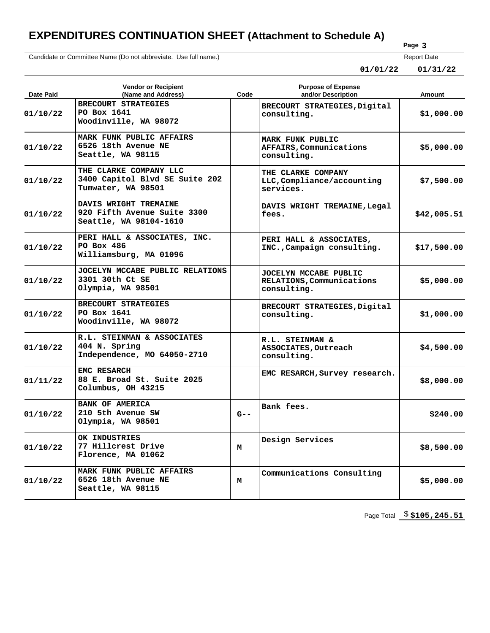# **EXPENDITURES CONTINUATION SHEET (Attachment to Schedule A)**

Candidate or Committee Name (Do not abbreviate. Use full name.)

### **Page 3**

Report Date

**01/01/22 01/31/22**

| Date Paid | <b>Vendor or Recipient</b><br>(Name and Address)                               | Code    | <b>Purpose of Expense</b><br>and/or Description                   | Amount      |
|-----------|--------------------------------------------------------------------------------|---------|-------------------------------------------------------------------|-------------|
| 01/10/22  | BRECOURT STRATEGIES<br>PO Box 1641<br>Woodinville, WA 98072                    |         | BRECOURT STRATEGIES, Digital<br>consulting.                       | \$1,000.00  |
| 01/10/22  | MARK FUNK PUBLIC AFFAIRS<br>6526 18th Avenue NE<br>Seattle, WA 98115           |         | MARK FUNK PUBLIC<br>AFFAIRS, Communications<br>consulting.        | \$5,000.00  |
| 01/10/22  | THE CLARKE COMPANY LLC<br>3400 Capitol Blvd SE Suite 202<br>Tumwater, WA 98501 |         | THE CLARKE COMPANY<br>LLC, Compliance/accounting<br>services.     | \$7,500.00  |
| 01/10/22  | DAVIS WRIGHT TREMAINE<br>920 Fifth Avenue Suite 3300<br>Seattle, WA 98104-1610 |         | DAVIS WRIGHT TREMAINE, Legal<br>fees.                             | \$42,005.51 |
| 01/10/22  | PERI HALL & ASSOCIATES, INC.<br>PO Box 486<br>Williamsburg, MA 01096           |         | PERI HALL & ASSOCIATES,<br>INC., Campaign consulting.             | \$17,500.00 |
| 01/10/22  | JOCELYN MCCABE PUBLIC RELATIONS<br>3301 30th Ct SE<br>Olympia, WA 98501        |         | JOCELYN MCCABE PUBLIC<br>RELATIONS, Communications<br>consulting. | \$5,000.00  |
| 01/10/22  | BRECOURT STRATEGIES<br>PO Box 1641<br>Woodinville, WA 98072                    |         | BRECOURT STRATEGIES, Digital<br>consulting.                       | \$1,000.00  |
| 01/10/22  | R.L. STEINMAN & ASSOCIATES<br>404 N. Spring<br>Independence, MO 64050-2710     |         | R.L. STEINMAN &<br>ASSOCIATES, Outreach<br>consulting.            | \$4,500.00  |
| 01/11/22  | EMC RESARCH<br>88 E. Broad St. Suite 2025<br>Columbus, OH 43215                |         | EMC RESARCH, Survey research.                                     | \$8,000.00  |
| 01/10/22  | <b>BANK OF AMERICA</b><br>210 5th Avenue SW<br>Olympia, WA 98501               | $G - -$ | Bank fees.                                                        | \$240.00    |
| 01/10/22  | OK INDUSTRIES<br>77 Hillcrest Drive<br>Florence, MA 01062                      | М       | Design Services                                                   | \$8,500.00  |
| 01/10/22  | MARK FUNK PUBLIC AFFAIRS<br>6526 18th Avenue NE<br>Seattle, WA 98115           | М       | Communications Consulting                                         | \$5,000.00  |

Page Total  $$3105,245.51$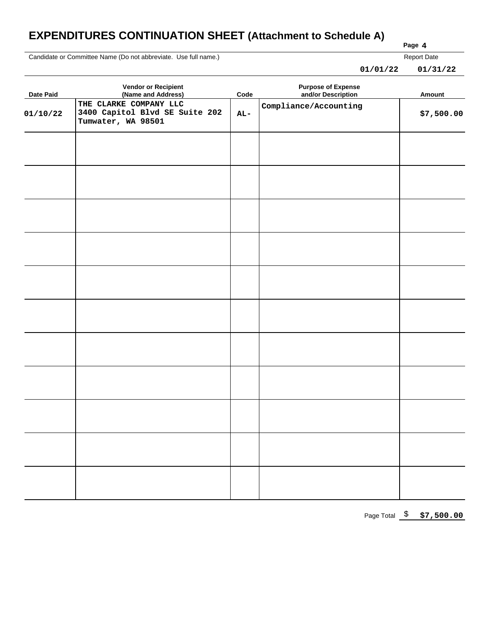# **EXPENDITURES CONTINUATION SHEET (Attachment to Schedule A)**

Candidate or Committee Name (Do not abbreviate. Use full name.)

Report Date

| 01/01/22 | 01/31/22 |
|----------|----------|
|----------|----------|

**Page 4**

| <b>Date Paid</b> | <b>Vendor or Recipient</b><br>(Name and Address)                               | $\mathsf{Code}$ | <b>Purpose of Expense<br/>and/or Description</b> | Amount     |
|------------------|--------------------------------------------------------------------------------|-----------------|--------------------------------------------------|------------|
| 01/10/22         | THE CLARKE COMPANY LLC<br>3400 Capitol Blvd SE Suite 202<br>Tumwater, WA 98501 | $AL-$           | Compliance/Accounting                            | \$7,500.00 |
|                  |                                                                                |                 |                                                  |            |
|                  |                                                                                |                 |                                                  |            |
|                  |                                                                                |                 |                                                  |            |
|                  |                                                                                |                 |                                                  |            |
|                  |                                                                                |                 |                                                  |            |
|                  |                                                                                |                 |                                                  |            |
|                  |                                                                                |                 |                                                  |            |
|                  |                                                                                |                 |                                                  |            |
|                  |                                                                                |                 |                                                  |            |
|                  |                                                                                |                 |                                                  |            |
|                  |                                                                                |                 |                                                  |            |

Page Total \$ **\$7,500.00**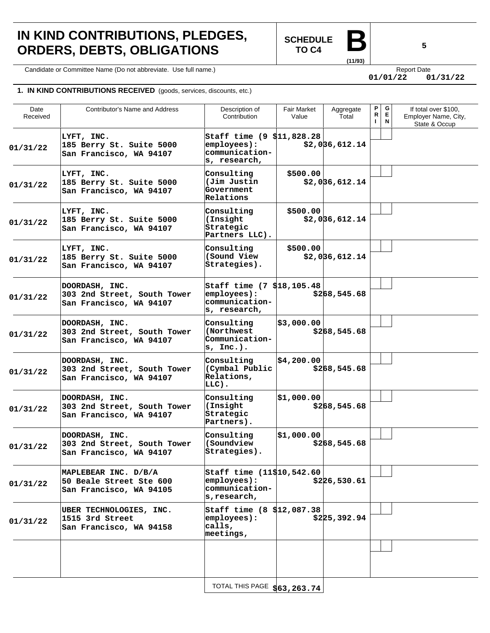# **IN KIND CONTRIBUTIONS, PLEDGES, ORDERS, DEBTS, OBLIGATIONS**

**SCHEDULE TO C4** 

**(11/93)**

Candidate or Committee Name (Do not abbreviate. Use full name.) Candidate express and the expect Date Report Date

**01/01/22 01/31/22**

#### **1. IN KIND CONTRIBUTIONS RECEIVED** (goods, services, discounts, etc.)

| Date<br>Received | Contributor's Name and Address                                             | Description of<br>Contribution                                              | Fair Market<br>Value | Aggregate<br>Total | P<br>R<br>I. | G<br>Е<br>N | If total over \$100,<br>Employer Name, City,<br>State & Occup |
|------------------|----------------------------------------------------------------------------|-----------------------------------------------------------------------------|----------------------|--------------------|--------------|-------------|---------------------------------------------------------------|
| 01/31/22         | LYFT, INC.<br>185 Berry St. Suite 5000<br>San Francisco, WA 94107          | Staff time (9 \$11,828.28<br>employees):<br>communication-<br>s, research,  |                      | \$2,0]36,612.14    |              |             |                                                               |
| 01/31/22         | LYFT, INC.<br>185 Berry St. Suite 5000<br>San Francisco, WA 94107          | Consulting<br>(Jim Justin<br>Government<br>Relations                        | \$500.00             | \$2,036,612.14     |              |             |                                                               |
| 01/31/22         | LYFT, INC.<br>185 Berry St. Suite 5000<br>San Francisco, WA 94107          | Consulting<br>(Insight<br>Strategic<br>Partners LLC).                       | \$500.00             | \$2,036,612.14     |              |             |                                                               |
| 01/31/22         | LYFT, INC.<br>185 Berry St. Suite 5000<br>San Francisco, WA 94107          | Consulting<br>(Sound View<br>Strategies).                                   | \$500.00             | \$2,0]36,612.14    |              |             |                                                               |
| 01/31/22         | DOORDASH, INC.<br>303 2nd Street, South Tower<br>San Francisco, WA 94107   | Staff time (7 \$18,105.48)<br>employees):<br>communication-<br>s, research, |                      | \$268,545.68       |              |             |                                                               |
| 01/31/22         | DOORDASH, INC.<br>303 2nd Street, South Tower<br>San Francisco, WA 94107   | Consulting<br>(Northwest<br>Communication-<br>$s$ , Inc.).                  | \$3,000.00           | \$268,545.68       |              |             |                                                               |
| 01/31/22         | DOORDASH, INC.<br>303 2nd Street, South Tower<br>San Francisco, WA 94107   | Consulting<br>(Cymbal Public<br>Relations,<br>LLC).                         | \$4,200.00           | \$268,545.68       |              |             |                                                               |
| 01/31/22         | DOORDASH, INC.<br>303 2nd Street, South Tower<br>San Francisco, WA 94107   | Consulting<br>(Insight<br>Strategic<br>Partners).                           | \$1,000.00           | \$268,545.68       |              |             |                                                               |
| 01/31/22         | DOORDASH, INC.<br>303 2nd Street, South Tower<br>San Francisco, WA 94107   | Consulting<br>(Soundview)<br>Strategies).                                   | \$1,000.00           | \$268,545.68       |              |             |                                                               |
| 01/31/22         | MAPLEBEAR INC. D/B/A<br>50 Beale Street Ste 600<br>San Francisco, WA 94105 | Staff time (11\$10,542.60<br>employees):<br>communication-<br>s, research,  |                      | \$226,530.61       |              |             |                                                               |
| 01/31/22         | UBER TECHNOLOGIES, INC.<br>1515 3rd Street<br>San Francisco, WA 94158      | Staff time (8 \$12,087.38<br>employees):<br>calls,<br>meetings,             |                      | \$225,392.94       |              |             |                                                               |
|                  |                                                                            |                                                                             |                      |                    |              |             |                                                               |
|                  |                                                                            | TOTAL THIS PAGE \$63,263.74                                                 |                      |                    |              |             |                                                               |

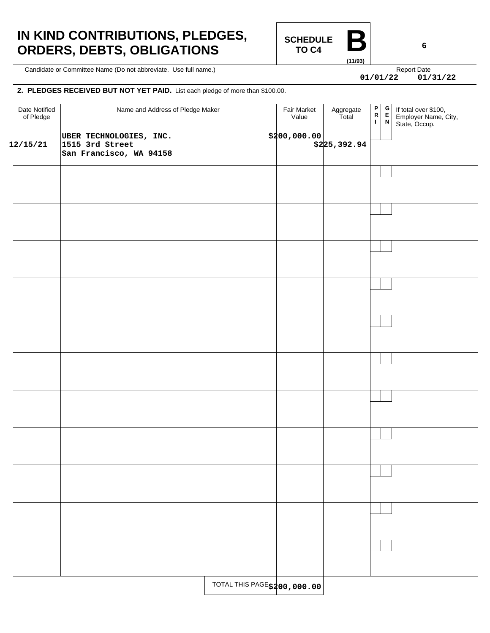# **IN KIND CONTRIBUTIONS, PLEDGES, ORDERS, DEBTS, OBLIGATIONS**

**SCHEDULE TO C4 (11/93)**

Candidate or Committee Name (Do not abbreviate. Use full name.) Candidate express and the expect Date Report Date

**01/01/22 01/31/22**

#### **2. PLEDGES RECEIVED BUT NOT YET PAID.** List each pledge of more than \$100.00.

| Date Notified<br>of Pledge | Name and Address of Pledge Maker                                      |                              | Fair Market<br>Value | Aggregate<br>Total | $\frac{P}{R}$<br>$\Gamma$ | $\frac{\mathsf{G}}{\mathsf{E}}$<br>$\boldsymbol{\mathsf{N}}$ | If total over \$100,<br>Employer Name, City,<br>State, Occup. |
|----------------------------|-----------------------------------------------------------------------|------------------------------|----------------------|--------------------|---------------------------|--------------------------------------------------------------|---------------------------------------------------------------|
| 12/15/21                   | UBER TECHNOLOGIES, INC.<br>1515 3rd Street<br>San Francisco, WA 94158 |                              | \$200,000.00         | \$225,392.94       |                           |                                                              |                                                               |
|                            |                                                                       |                              |                      |                    |                           |                                                              |                                                               |
|                            |                                                                       |                              |                      |                    |                           |                                                              |                                                               |
|                            |                                                                       |                              |                      |                    |                           |                                                              |                                                               |
|                            |                                                                       |                              |                      |                    |                           |                                                              |                                                               |
|                            |                                                                       |                              |                      |                    |                           |                                                              |                                                               |
|                            |                                                                       |                              |                      |                    |                           |                                                              |                                                               |
|                            |                                                                       |                              |                      |                    |                           |                                                              |                                                               |
|                            |                                                                       |                              |                      |                    |                           |                                                              |                                                               |
|                            |                                                                       |                              |                      |                    |                           |                                                              |                                                               |
|                            |                                                                       |                              |                      |                    |                           |                                                              |                                                               |
|                            |                                                                       |                              |                      |                    |                           |                                                              |                                                               |
|                            |                                                                       | TOTAL THIS PAGE \$200,000.00 |                      |                    |                           |                                                              |                                                               |

**6**